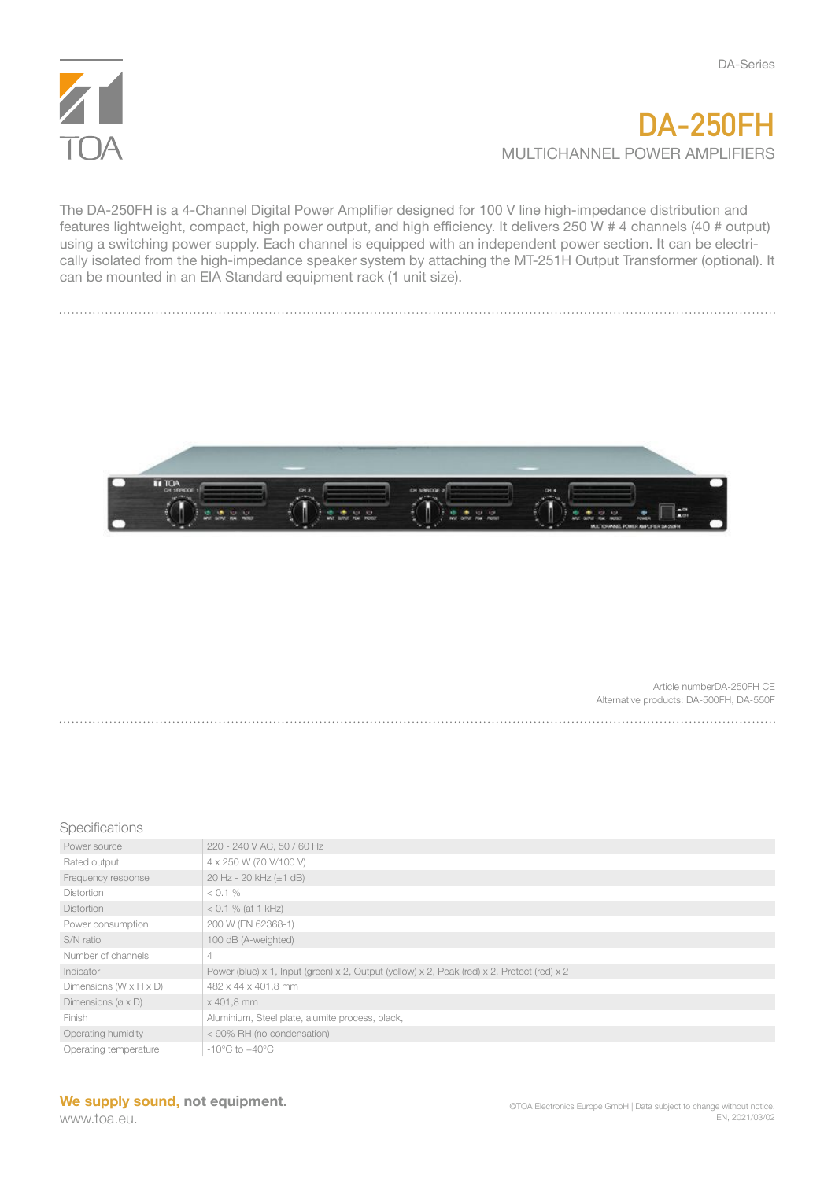

## **DA-250FH** MULTICHANNEL POWER AMPLIFIERS

The DA-250FH is a 4-Channel Digital Power Amplifier designed for 100 V line high-impedance distribution and features lightweight, compact, high power output, and high efficiency. It delivers 250 W # 4 channels (40 # output) using a switching power supply. Each channel is equipped with an independent power section. It can be electrically isolated from the high-impedance speaker system by attaching the MT-251H Output Transformer (optional). It can be mounted in an EIA Standard equipment rack (1 unit size).



Article numberDA-250FH CE Alternative products: DA-500FH, DA-550F 

## **Specifications**

| Power source                          | 220 - 240 V AC, 50 / 60 Hz                                                                  |
|---------------------------------------|---------------------------------------------------------------------------------------------|
| Rated output                          | 4 x 250 W (70 V/100 V)                                                                      |
| Frequency response                    | 20 Hz - 20 kHz (±1 dB)                                                                      |
| Distortion                            | $< 0.1 \%$                                                                                  |
| <b>Distortion</b>                     | $< 0.1 \%$ (at 1 kHz)                                                                       |
| Power consumption                     | 200 W (EN 62368-1)                                                                          |
| S/N ratio                             | 100 dB (A-weighted)                                                                         |
| Number of channels                    | $\overline{4}$                                                                              |
| Indicator                             | Power (blue) x 1, Input (green) x 2, Output (yellow) x 2, Peak (red) x 2, Protect (red) x 2 |
| Dimensions $(W \times H \times D)$    | 482 x 44 x 401,8 mm                                                                         |
| Dimensions ( $\varnothing \times D$ ) | x 401,8 mm                                                                                  |
| Finish                                | Aluminium, Steel plate, alumite process, black,                                             |
| Operating humidity                    | < 90% RH (no condensation)                                                                  |
| Operating temperature                 | $-10^{\circ}$ C to $+40^{\circ}$ C                                                          |